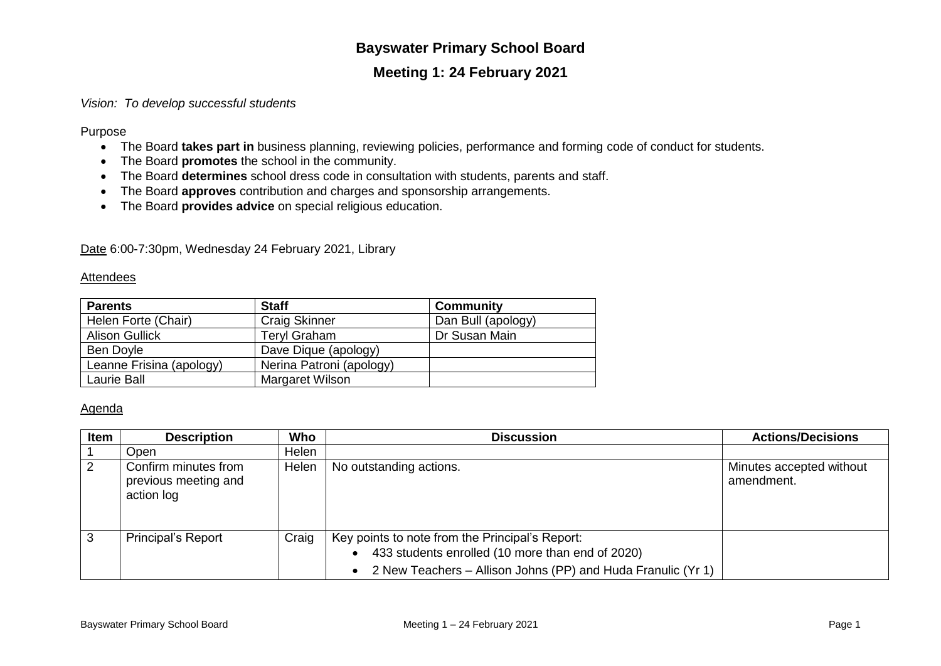# **Bayswater Primary School Board**

## **Meeting 1: 24 February 2021**

## *Vision: To develop successful students*

Purpose

- The Board **takes part in** business planning, reviewing policies, performance and forming code of conduct for students.
- The Board **promotes** the school in the community.
- The Board **determines** school dress code in consultation with students, parents and staff.
- The Board **approves** contribution and charges and sponsorship arrangements.
- The Board **provides advice** on special religious education.

Date 6:00-7:30pm, Wednesday 24 February 2021, Library

### **Attendees**

| <b>Parents</b>           | <b>Staff</b>             | <b>Community</b>   |
|--------------------------|--------------------------|--------------------|
| Helen Forte (Chair)      | <b>Craig Skinner</b>     | Dan Bull (apology) |
| <b>Alison Gullick</b>    | <b>Teryl Graham</b>      | Dr Susan Main      |
| Ben Doyle                | Dave Dique (apology)     |                    |
| Leanne Frisina (apology) | Nerina Patroni (apology) |                    |
| Laurie Ball              | Margaret Wilson          |                    |

### Agenda

| <b>Item</b> | <b>Description</b>                                         | Who   | <b>Discussion</b>                                                                                                                                                   | <b>Actions/Decisions</b>               |
|-------------|------------------------------------------------------------|-------|---------------------------------------------------------------------------------------------------------------------------------------------------------------------|----------------------------------------|
|             | Open                                                       | Helen |                                                                                                                                                                     |                                        |
| $\sqrt{2}$  | Confirm minutes from<br>previous meeting and<br>action log | Helen | No outstanding actions.                                                                                                                                             | Minutes accepted without<br>amendment. |
| -3          | <b>Principal's Report</b>                                  | Craig | Key points to note from the Principal's Report:<br>433 students enrolled (10 more than end of 2020)<br>2 New Teachers - Allison Johns (PP) and Huda Franulic (Yr 1) |                                        |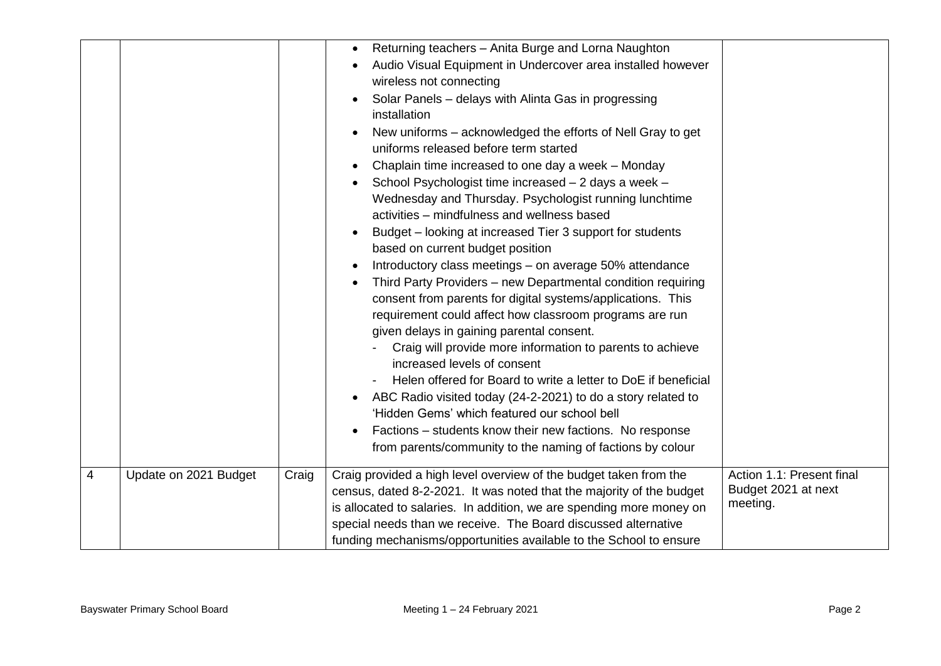|                          |                       |       | Returning teachers - Anita Burge and Lorna Naughton<br>$\bullet$<br>Audio Visual Equipment in Undercover area installed however<br>$\bullet$<br>wireless not connecting<br>Solar Panels - delays with Alinta Gas in progressing<br>installation<br>New uniforms - acknowledged the efforts of Nell Gray to get<br>uniforms released before term started<br>Chaplain time increased to one day a week - Monday<br>School Psychologist time increased - 2 days a week -<br>Wednesday and Thursday. Psychologist running lunchtime<br>activities – mindfulness and wellness based<br>Budget – looking at increased Tier 3 support for students<br>$\bullet$<br>based on current budget position<br>Introductory class meetings - on average 50% attendance<br>Third Party Providers - new Departmental condition requiring<br>consent from parents for digital systems/applications. This<br>requirement could affect how classroom programs are run<br>given delays in gaining parental consent.<br>Craig will provide more information to parents to achieve<br>increased levels of consent<br>Helen offered for Board to write a letter to DoE if beneficial<br>ABC Radio visited today (24-2-2021) to do a story related to<br>$\bullet$<br>'Hidden Gems' which featured our school bell<br>Factions – students know their new factions. No response<br>from parents/community to the naming of factions by colour |                                                              |
|--------------------------|-----------------------|-------|---------------------------------------------------------------------------------------------------------------------------------------------------------------------------------------------------------------------------------------------------------------------------------------------------------------------------------------------------------------------------------------------------------------------------------------------------------------------------------------------------------------------------------------------------------------------------------------------------------------------------------------------------------------------------------------------------------------------------------------------------------------------------------------------------------------------------------------------------------------------------------------------------------------------------------------------------------------------------------------------------------------------------------------------------------------------------------------------------------------------------------------------------------------------------------------------------------------------------------------------------------------------------------------------------------------------------------------------------------------------------------------------------------------------|--------------------------------------------------------------|
| $\overline{\mathcal{A}}$ | Update on 2021 Budget | Craig | Craig provided a high level overview of the budget taken from the<br>census, dated 8-2-2021. It was noted that the majority of the budget<br>is allocated to salaries. In addition, we are spending more money on<br>special needs than we receive. The Board discussed alternative<br>funding mechanisms/opportunities available to the School to ensure                                                                                                                                                                                                                                                                                                                                                                                                                                                                                                                                                                                                                                                                                                                                                                                                                                                                                                                                                                                                                                                           | Action 1.1: Present final<br>Budget 2021 at next<br>meeting. |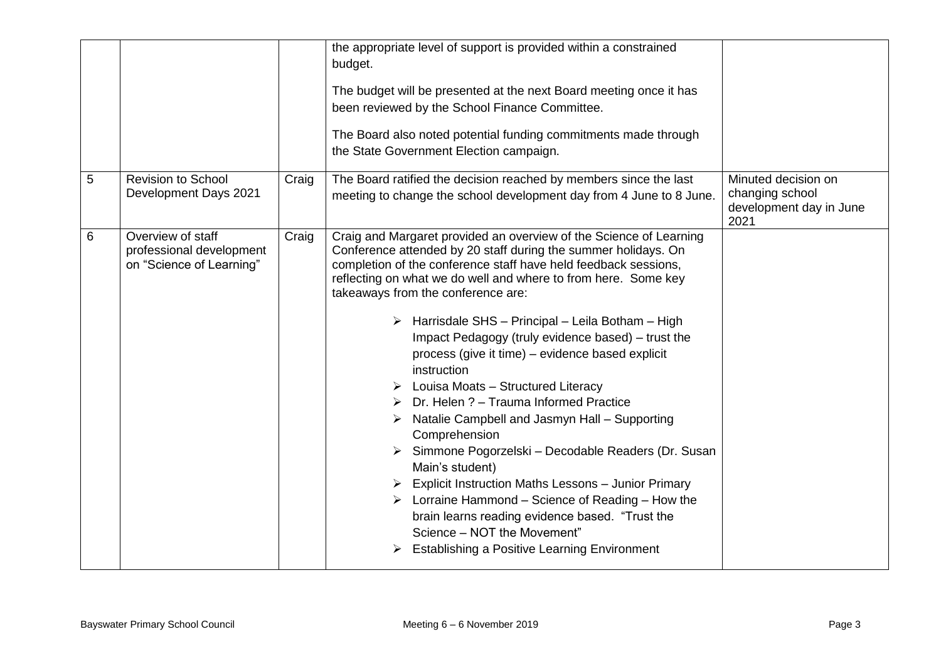| 5 | <b>Revision to School</b><br>Development Days 2021                        | Craig | the appropriate level of support is provided within a constrained<br>budget.<br>The budget will be presented at the next Board meeting once it has<br>been reviewed by the School Finance Committee.<br>The Board also noted potential funding commitments made through<br>the State Government Election campaign.<br>The Board ratified the decision reached by members since the last<br>meeting to change the school development day from 4 June to 8 June.                                                                                                                                                                                                                                                                                                                                                                                                                                                                                                                                                                                          | Minuted decision on<br>changing school |
|---|---------------------------------------------------------------------------|-------|---------------------------------------------------------------------------------------------------------------------------------------------------------------------------------------------------------------------------------------------------------------------------------------------------------------------------------------------------------------------------------------------------------------------------------------------------------------------------------------------------------------------------------------------------------------------------------------------------------------------------------------------------------------------------------------------------------------------------------------------------------------------------------------------------------------------------------------------------------------------------------------------------------------------------------------------------------------------------------------------------------------------------------------------------------|----------------------------------------|
|   |                                                                           |       |                                                                                                                                                                                                                                                                                                                                                                                                                                                                                                                                                                                                                                                                                                                                                                                                                                                                                                                                                                                                                                                         | development day in June<br>2021        |
| 6 | Overview of staff<br>professional development<br>on "Science of Learning" | Craig | Craig and Margaret provided an overview of the Science of Learning<br>Conference attended by 20 staff during the summer holidays. On<br>completion of the conference staff have held feedback sessions,<br>reflecting on what we do well and where to from here. Some key<br>takeaways from the conference are:<br>> Harrisdale SHS - Principal - Leila Botham - High<br>Impact Pedagogy (truly evidence based) - trust the<br>process (give it time) - evidence based explicit<br>instruction<br>$\triangleright$ Louisa Moats - Structured Literacy<br>$\triangleright$ Dr. Helen ? – Trauma Informed Practice<br>Natalie Campbell and Jasmyn Hall - Supporting<br>➤<br>Comprehension<br>> Simmone Pogorzelski – Decodable Readers (Dr. Susan<br>Main's student)<br>$\triangleright$ Explicit Instruction Maths Lessons - Junior Primary<br>$\triangleright$ Lorraine Hammond – Science of Reading – How the<br>brain learns reading evidence based. "Trust the<br>Science - NOT the Movement"<br><b>Establishing a Positive Learning Environment</b> |                                        |